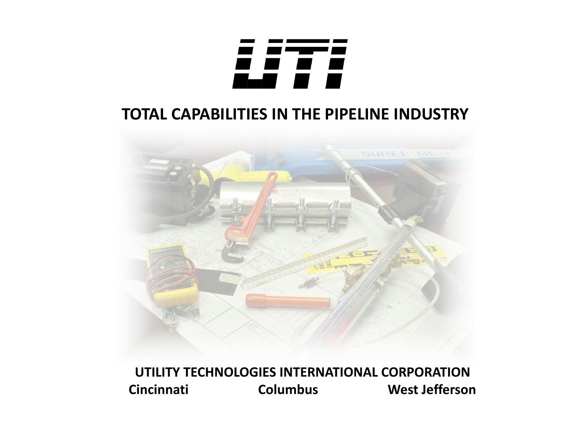

### **TOTAL CAPABILITIES IN THE PIPELINE INDUSTRY**



**UTILITY TECHNOLOGIES INTERNATIONAL CORPORATION Cincinnati Columbus West Jefferson**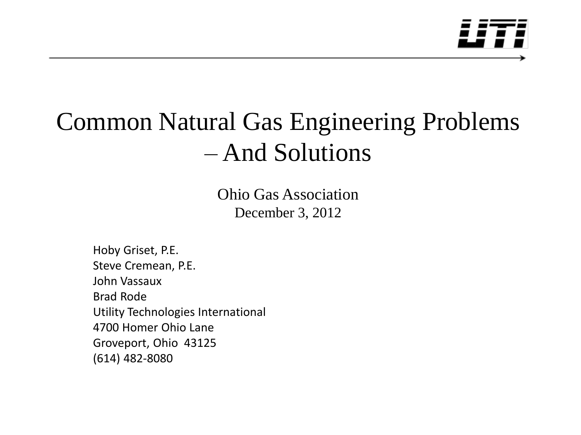

## Common Natural Gas Engineering Problems – And Solutions

Ohio Gas Association December 3, 2012

Hoby Griset, P.E. Steve Cremean, P.E. John Vassaux Brad Rode Utility Technologies International 4700 Homer Ohio Lane Groveport, Ohio 43125 (614) 482-8080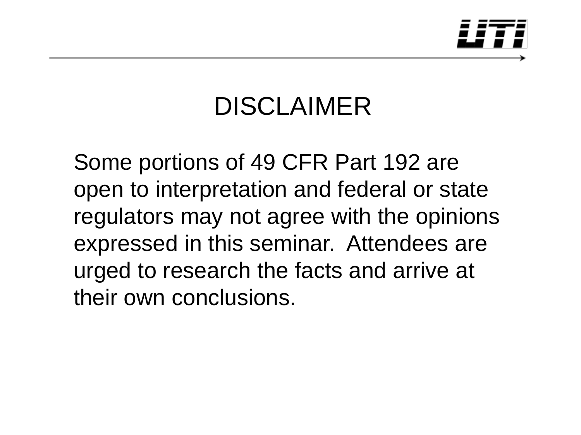

## DISCLAIMER

Some portions of 49 CFR Part 192 are open to interpretation and federal or state regulators may not agree with the opinions expressed in this seminar. Attendees are urged to research the facts and arrive at their own conclusions.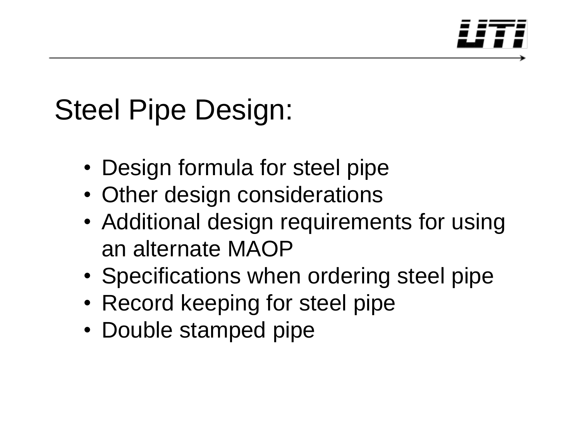

# Steel Pipe Design:

- Design formula for steel pipe
- Other design considerations
- Additional design requirements for using an alternate MAOP
- Specifications when ordering steel pipe
- Record keeping for steel pipe
- Double stamped pipe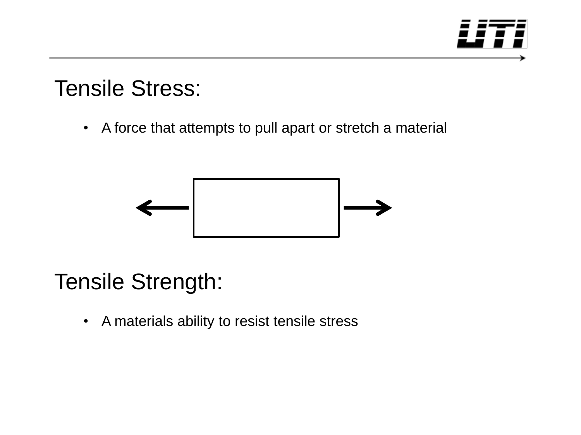

### Tensile Stress:

• A force that attempts to pull apart or stretch a material



### Tensile Strength:

• A materials ability to resist tensile stress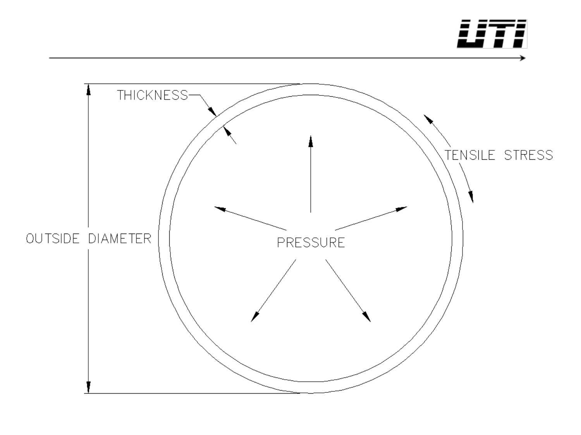

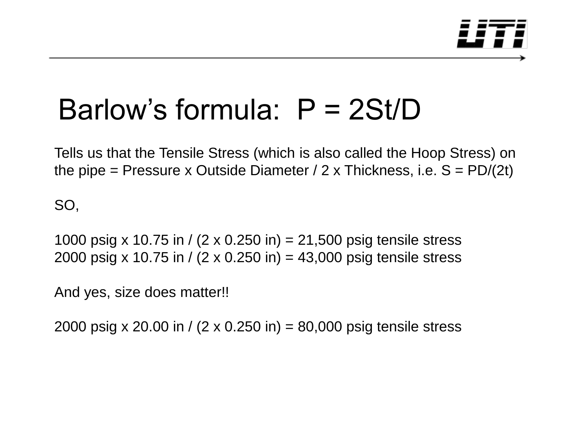

## Barlow's formula: P = 2St/D

Tells us that the Tensile Stress (which is also called the Hoop Stress) on the pipe = Pressure x Outside Diameter /  $2 \times$  Thickness, i.e.  $S = \text{PD}/(2t)$ 

SO,

1000 psig x 10.75 in / (2 x 0.250 in) = 21,500 psig tensile stress 2000 psig x 10.75 in /  $(2 \times 0.250)$  in = 43,000 psig tensile stress

And yes, size does matter!!

2000 psig x 20.00 in / (2 x 0.250 in) = 80,000 psig tensile stress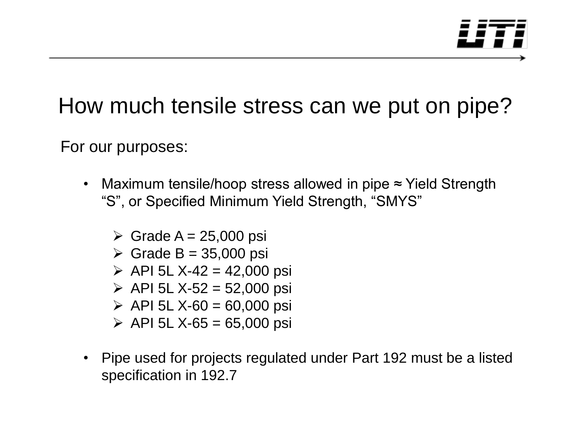

### How much tensile stress can we put on pipe?

For our purposes:

- Maximum tensile/hoop stress allowed in pipe ≈ Yield Strength "S", or Specified Minimum Yield Strength, "SMYS"
	- $\triangleright$  Grade A = 25,000 psi
	- $\triangleright$  Grade B = 35,000 psi
	- $\triangleright$  API 5L X-42 = 42,000 psi
	- $\triangleright$  API 5L X-52 = 52,000 psi
	- $\triangleright$  API 5L X-60 = 60,000 psi
	- $\triangleright$  API 5L X-65 = 65,000 psi
- Pipe used for projects regulated under Part 192 must be a listed specification in 192.7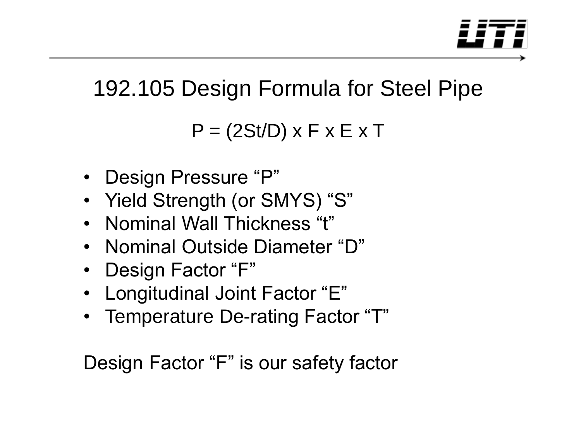

## 192.105 Design Formula for Steel Pipe

 $P = (2St/D) \times F \times E \times T$ 

- Design Pressure "P"
- Yield Strength (or SMYS) "S"
- Nominal Wall Thickness "t"
- Nominal Outside Diameter "D"
- Design Factor "F"
- Longitudinal Joint Factor "E"
- Temperature De-rating Factor "T"

Design Factor "F" is our safety factor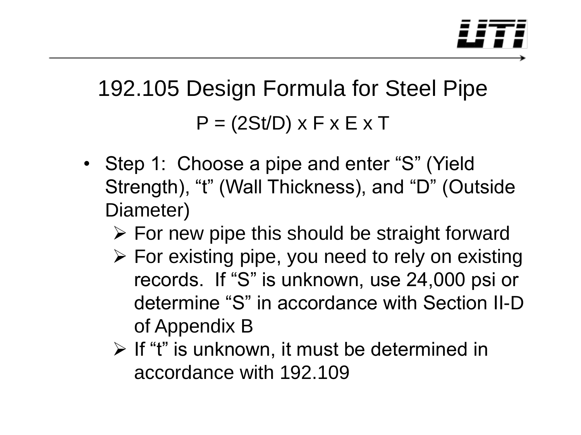

## 192.105 Design Formula for Steel Pipe  $P = (2St/D) \times F \times E \times T$

- Step 1: Choose a pipe and enter "S" (Yield Strength), "t" (Wall Thickness), and "D" (Outside Diameter)
	- $\triangleright$  For new pipe this should be straight forward
	- $\triangleright$  For existing pipe, you need to rely on existing records. If "S" is unknown, use 24,000 psi or determine "S" in accordance with Section II-D of Appendix B
	- $\triangleright$  If "t" is unknown, it must be determined in accordance with 192.109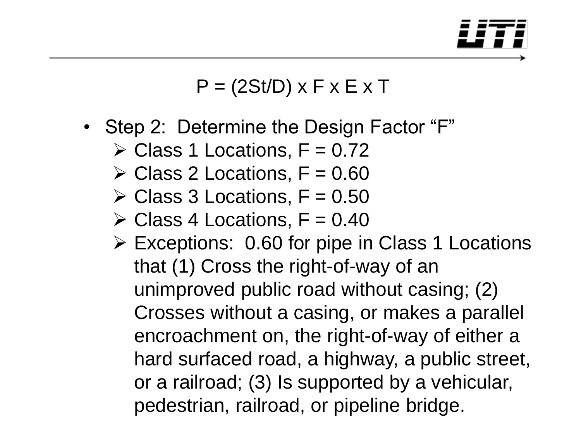

- Step 2: Determine the Design Factor "F"
	- $\triangleright$  Class 1 Locations, F = 0.72
	- $\geq$  Class 2 Locations, F = 0.60
	- $\triangleright$  Class 3 Locations, F = 0.50
	- $\geq$  Class 4 Locations, F = 0.40
	- Exceptions: 0.60 for pipe in Class 1 Locations that (1) Cross the right-of-way of an unimproved public road without casing; (2) Crosses without a casing, or makes a parallel encroachment on, the right-of-way of either a hard surfaced road, a highway, a public street, or a railroad; (3) Is supported by a vehicular, pedestrian, railroad, or pipeline bridge.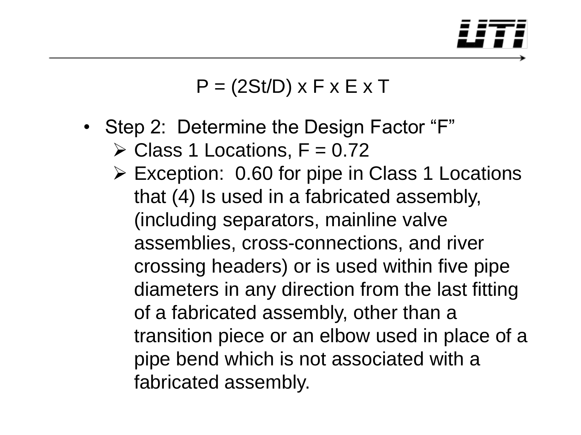

- Step 2: Determine the Design Factor "F"
	- $\triangleright$  Class 1 Locations, F = 0.72
	- Exception: 0.60 for pipe in Class 1 Locations that (4) Is used in a fabricated assembly, (including separators, mainline valve assemblies, cross-connections, and river crossing headers) or is used within five pipe diameters in any direction from the last fitting of a fabricated assembly, other than a transition piece or an elbow used in place of a pipe bend which is not associated with a fabricated assembly.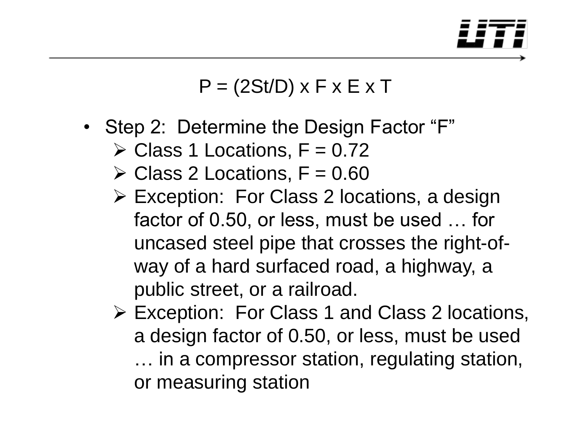

- Step 2: Determine the Design Factor "F"
	- $\triangleright$  Class 1 Locations, F = 0.72
	- $\triangleright$  Class 2 Locations, F = 0.60
	- Exception: For Class 2 locations, a design factor of 0.50, or less, must be used … for uncased steel pipe that crosses the right-ofway of a hard surfaced road, a highway, a public street, or a railroad.
	- Exception: For Class 1 and Class 2 locations, a design factor of 0.50, or less, must be used … in a compressor station, regulating station, or measuring station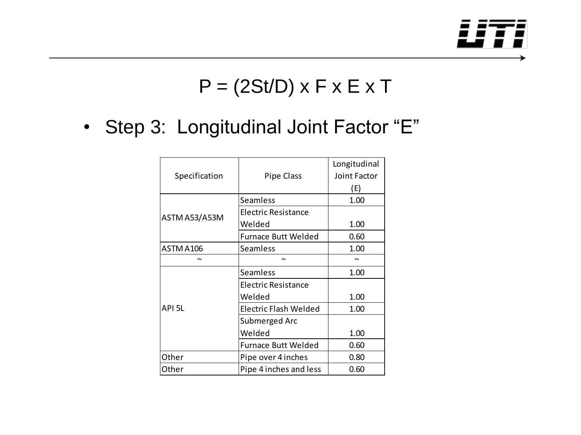

### • Step 3: Longitudinal Joint Factor "E"

|                                  |                            | Longitudinal |  |  |  |
|----------------------------------|----------------------------|--------------|--|--|--|
| Specification                    | Pipe Class                 | Joint Factor |  |  |  |
|                                  |                            | (E)          |  |  |  |
|                                  | Seamless                   | 1.00         |  |  |  |
|                                  | Electric Resistance        |              |  |  |  |
|                                  | Welded                     | 1.00         |  |  |  |
|                                  | <b>Furnace Butt Welded</b> | 0.60         |  |  |  |
| ASTM A106                        | Seamless                   | 1.00         |  |  |  |
|                                  | $\sim$                     |              |  |  |  |
|                                  | <b>Seamless</b>            | 1.00         |  |  |  |
| ASTM A53/A53M<br>API 5L<br>Other | Electric Resistance        |              |  |  |  |
|                                  | Welded                     | 1.00         |  |  |  |
|                                  | Electric Flash Welded      | 1.00         |  |  |  |
|                                  | Submerged Arc              |              |  |  |  |
|                                  | Welded                     | 1.00         |  |  |  |
|                                  | <b>Furnace Butt Welded</b> | 0.60         |  |  |  |
|                                  | Pipe over 4 inches         | 0.80         |  |  |  |
| Other                            | Pipe 4 inches and less     | 0.60         |  |  |  |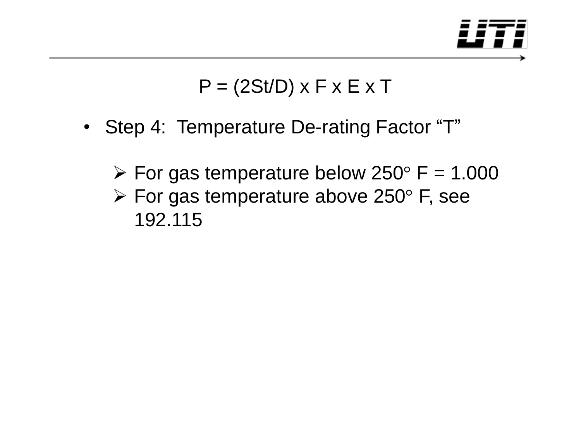

- Step 4: Temperature De-rating Factor "T"
	- $\triangleright$  For gas temperature below 250 $\degree$  F = 1.000
	- $\triangleright$  For gas temperature above 250 $\degree$  F, see 192.115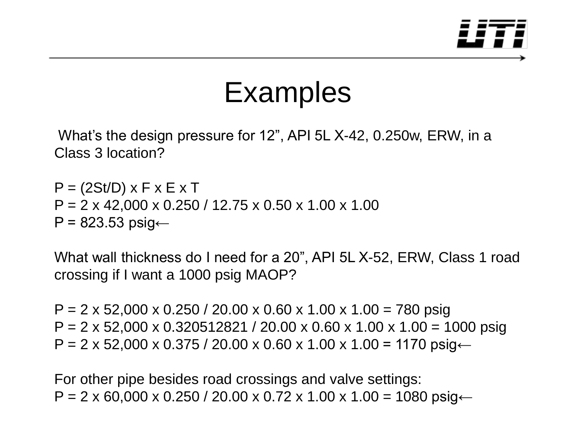

## Examples

What's the design pressure for 12", API 5L X-42, 0.250w, ERW, in a Class 3 location?

 $P = (2St/D) \times F \times E \times T$  $P = 2 \times 42,000 \times 0.250 / 12.75 \times 0.50 \times 1.00 \times 1.00$  $P = 823.53$  psig $\leftarrow$ 

What wall thickness do I need for a 20", API 5L X-52, ERW, Class 1 road crossing if I want a 1000 psig MAOP?

 $P = 2 \times 52,000 \times 0.250 / 20.00 \times 0.60 \times 1.00 \times 1.00 = 780$  psig  $P = 2 \times 52,000 \times 0.320512821 / 20.00 \times 0.60 \times 1.00 \times 1.00 = 1000 \text{ psig}$  $P = 2 \times 52,000 \times 0.375 / 20.00 \times 0.60 \times 1.00 \times 1.00 = 1170 \text{ psig} \leftarrow$ 

For other pipe besides road crossings and valve settings:  $P = 2 \times 60,000 \times 0.250 / 20.00 \times 0.72 \times 1.00 \times 1.00 = 1080 \text{ psig} \leftarrow$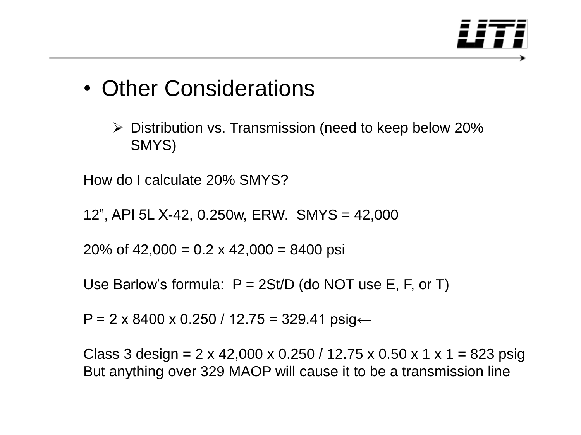

### • Other Considerations

 $\triangleright$  Distribution vs. Transmission (need to keep below 20%) SMYS)

How do I calculate 20% SMYS?

12", API 5L X-42, 0.250w, ERW. SMYS = 42,000

20% of 42,000 =  $0.2 \times 42,000 = 8400$  psi

Use Barlow's formula:  $P = 2St/D$  (do NOT use E, F, or T)

P = 2 x 8400 x 0.250 / 12.75 = 329.41 psig←

Class 3 design =  $2 \times 42,000 \times 0.250 / 12.75 \times 0.50 \times 1 \times 1 = 823$  psig But anything over 329 MAOP will cause it to be a transmission line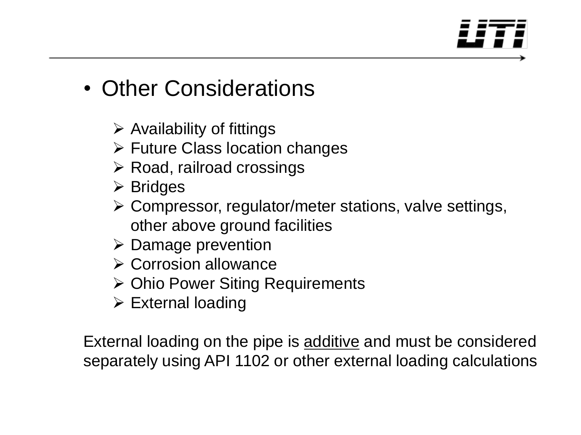### • Other Considerations

- $\triangleright$  Availability of fittings
- $\triangleright$  Future Class location changes
- $\triangleright$  Road, railroad crossings
- $\triangleright$  Bridges
- Compressor, regulator/meter stations, valve settings, other above ground facilities
- $\triangleright$  Damage prevention
- $\triangleright$  Corrosion allowance
- **≻ Ohio Power Siting Requirements**
- $\triangleright$  External loading

External loading on the pipe is additive and must be considered separately using API 1102 or other external loading calculations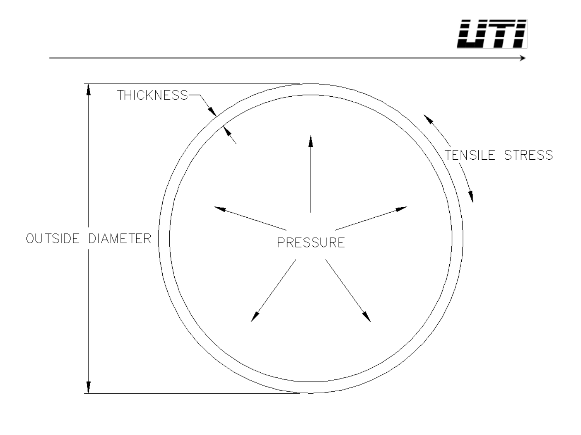

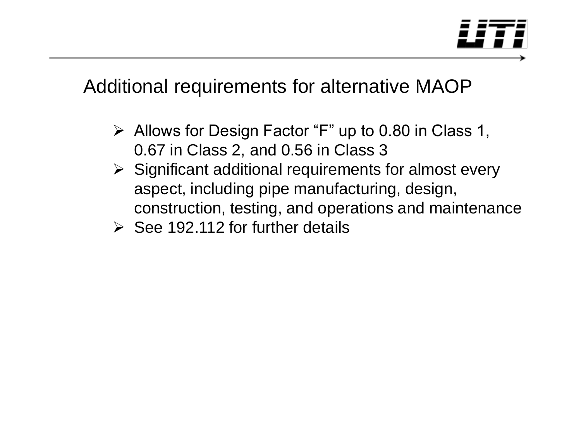

### Additional requirements for alternative MAOP

- $\triangleright$  Allows for Design Factor "F" up to 0.80 in Class 1, 0.67 in Class 2, and 0.56 in Class 3
- $\triangleright$  Significant additional requirements for almost every aspect, including pipe manufacturing, design, construction, testing, and operations and maintenance
- $\triangleright$  See 192.112 for further details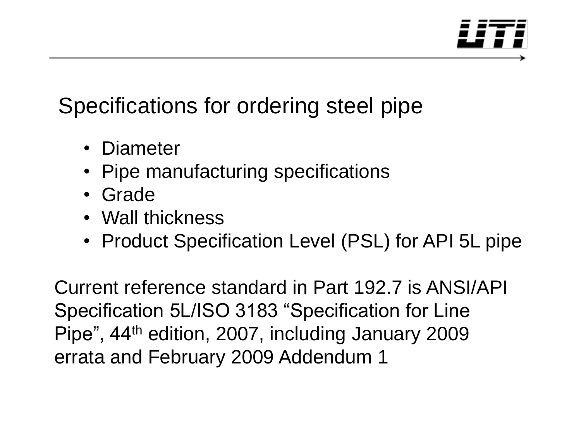

### Specifications for ordering steel pipe

- Diameter
- Pipe manufacturing specifications
- Grade
- Wall thickness
- Product Specification Level (PSL) for API 5L pipe

Current reference standard in Part 192.7 is ANSI/API Specification 5L/ISO 3183 "Specification for Line Pipe", 44th edition, 2007, including January 2009 errata and February 2009 Addendum 1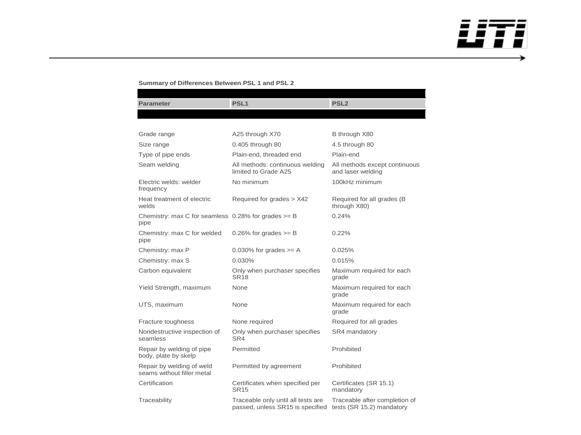

→

### **Summary of Differences Between PSL 1 and PSL 2**

| <b>Parameter</b>                                                 | PSL <sub>1</sub>                                                       | PSL <sub>2</sub>                                           |  |  |  |  |  |  |
|------------------------------------------------------------------|------------------------------------------------------------------------|------------------------------------------------------------|--|--|--|--|--|--|
|                                                                  |                                                                        |                                                            |  |  |  |  |  |  |
|                                                                  |                                                                        |                                                            |  |  |  |  |  |  |
| Grade range                                                      | A25 through X70                                                        | B through X80                                              |  |  |  |  |  |  |
| Size range                                                       | 0.405 through 80                                                       | 4.5 through 80                                             |  |  |  |  |  |  |
| Type of pipe ends                                                | Plain-end, threaded end                                                | Plain-end                                                  |  |  |  |  |  |  |
| Seam welding                                                     | All methods: continuous welding<br>limited to Grade A25                | All methods except continuous<br>and laser welding         |  |  |  |  |  |  |
| Electric welds: welder<br>frequency                              | No minimum                                                             | 100kHz minimum                                             |  |  |  |  |  |  |
| Heat treatment of electric<br>welds                              | Required for grades > X42                                              | Required for all grades (B)<br>through X80)                |  |  |  |  |  |  |
| Chemistry: max C for seamless $0.28\%$ for grades $>=$ B<br>pipe |                                                                        | 0.24%                                                      |  |  |  |  |  |  |
| Chemistry: max C for welded<br>pipe                              | 0.26% for grades $>=$ B                                                | 0.22%                                                      |  |  |  |  |  |  |
| Chemistry: max P                                                 | 0.030% for grades $>= A$                                               | 0.025%                                                     |  |  |  |  |  |  |
| Chemistry: max S                                                 | 0.030%                                                                 | 0.015%                                                     |  |  |  |  |  |  |
| Carbon equivalent                                                | Only when purchaser specifies<br><b>SR18</b>                           | Maximum required for each<br>grade                         |  |  |  |  |  |  |
| Yield Strength, maximum                                          | None                                                                   | Maximum required for each<br>grade                         |  |  |  |  |  |  |
| UTS, maximum                                                     | None                                                                   | Maximum required for each<br>grade                         |  |  |  |  |  |  |
| Fracture toughness                                               | None required                                                          | Required for all grades                                    |  |  |  |  |  |  |
| Nondestructive inspection of<br>seamless                         | Only when purchaser specifies<br>SR4                                   | SR4 mandatory                                              |  |  |  |  |  |  |
| Repair by welding of pipe<br>body, plate by skelp                | Permitted                                                              | Prohibited                                                 |  |  |  |  |  |  |
| Repair by welding of weld<br>seams without filler metal          | Permitted by agreement                                                 | Prohibited                                                 |  |  |  |  |  |  |
| Certification                                                    | Certificates when specified per<br><b>SR15</b>                         | Certificates (SR 15.1)<br>mandatory                        |  |  |  |  |  |  |
| Traceability                                                     | Traceable only until all tests are<br>passed, unless SR15 is specified | Traceable after completion of<br>tests (SR 15.2) mandatory |  |  |  |  |  |  |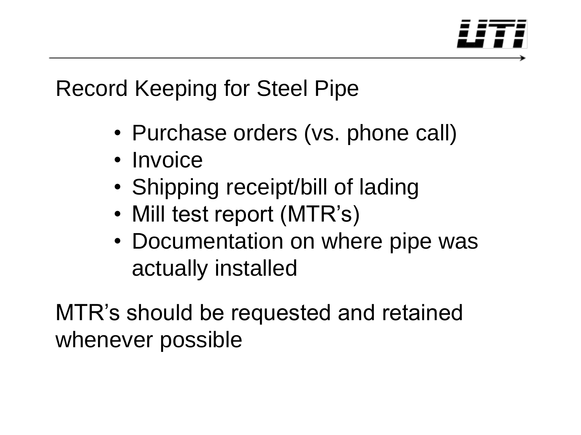

### Record Keeping for Steel Pipe

- Purchase orders (vs. phone call)
- Invoice
- Shipping receipt/bill of lading
- Mill test report (MTR's)
- Documentation on where pipe was actually installed

MTR's should be requested and retained whenever possible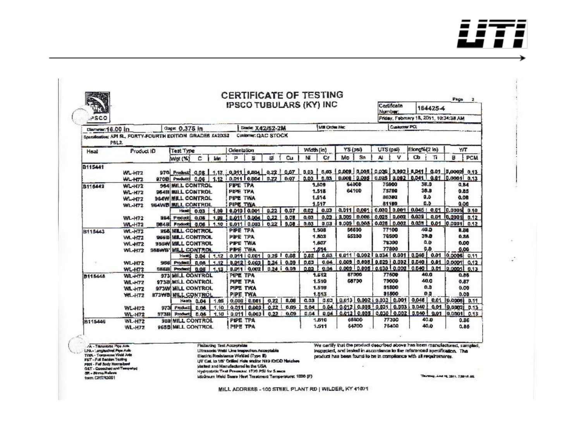- --− , , **ALLES** -

್

| PSCO                                                                                                                                                                                                                | IPSCO TUBULARS (KY) INC |                          |                                                              |                   |               |                                  |                                                                                                                                                                                                                                                                                               |                                  |                    |                                  |                                | Certificate<br>Number,                                            | 184425-4             |                                                        |                                       |                |              |                                                                                                                                                          |                                    |  |
|---------------------------------------------------------------------------------------------------------------------------------------------------------------------------------------------------------------------|-------------------------|--------------------------|--------------------------------------------------------------|-------------------|---------------|----------------------------------|-----------------------------------------------------------------------------------------------------------------------------------------------------------------------------------------------------------------------------------------------------------------------------------------------|----------------------------------|--------------------|----------------------------------|--------------------------------|-------------------------------------------------------------------|----------------------|--------------------------------------------------------|---------------------------------------|----------------|--------------|----------------------------------------------------------------------------------------------------------------------------------------------------------|------------------------------------|--|
|                                                                                                                                                                                                                     |                         |                          |                                                              |                   |               |                                  |                                                                                                                                                                                                                                                                                               |                                  |                    |                                  |                                |                                                                   |                      | Friday, February 18, 2011, 10:34:38 AM<br>Customer PCL |                                       |                |              |                                                                                                                                                          |                                    |  |
| Diameter: 16.00 in                                                                                                                                                                                                  |                         |                          | Gage: 0.375 in                                               |                   |               |                                  | <b>Grade: X42/52-2M</b>                                                                                                                                                                                                                                                                       |                                  |                    |                                  | <b>MB Orden Net:</b>           |                                                                   |                      |                                                        |                                       |                |              |                                                                                                                                                          |                                    |  |
| Specification; API SL, FORTY-FOURTH EDITION GRADES K420X52                                                                                                                                                          |                         |                          |                                                              |                   |               |                                  | Customer: QAC STOCK                                                                                                                                                                                                                                                                           |                                  |                    |                                  |                                |                                                                   |                      |                                                        |                                       |                |              |                                                                                                                                                          |                                    |  |
|                                                                                                                                                                                                                     | PSL2                    |                          | Orientation                                                  |                   |               |                                  |                                                                                                                                                                                                                                                                                               |                                  |                    |                                  | YS (psi)<br>Width (in)         |                                                                   |                      |                                                        | Elong%(2 in)<br><b>UTS (DAI)</b>      |                |              | YЛ                                                                                                                                                       |                                    |  |
| Heat                                                                                                                                                                                                                | Product ID              |                          | Test Type                                                    |                   |               |                                  | Cu                                                                                                                                                                                                                                                                                            |                                  |                    | M<br>Cf                          |                                | Sn<br>мь                                                          |                      | v<br>Ał                                                |                                       | <b>Cb</b><br>т |              | в<br><b>PCM</b>                                                                                                                                          |                                    |  |
|                                                                                                                                                                                                                     |                         |                          | Wat (%)                                                      | с                 | Mar           | P                                | s                                                                                                                                                                                                                                                                                             | sí.                              |                    |                                  |                                |                                                                   |                      |                                                        |                                       |                |              |                                                                                                                                                          |                                    |  |
| <b>B115441</b>                                                                                                                                                                                                      |                         |                          |                                                              |                   |               |                                  |                                                                                                                                                                                                                                                                                               |                                  |                    |                                  |                                |                                                                   |                      |                                                        |                                       |                |              |                                                                                                                                                          |                                    |  |
|                                                                                                                                                                                                                     | WL+72                   |                          | 970 Product: 0.06 1.17 0.011 0.004 0.22 0.07                 |                   |               |                                  |                                                                                                                                                                                                                                                                                               |                                  |                    |                                  |                                |                                                                   |                      |                                                        |                                       |                |              | 0.03 0.05 0.009 0.005 0.026 0.002 0.041 0.01 0.0002 0.13<br>0.008 0.005 0.025 0.002 0.041 0.01 0.0001 0.13                                               |                                    |  |
|                                                                                                                                                                                                                     | WL-H72                  |                          | 870B Products 0.06                                           |                   |               |                                  | 1.12 0.011 0.004 0.22                                                                                                                                                                                                                                                                         |                                  | 0.07               |                                  | $0.03$ $10.03$                 |                                                                   |                      |                                                        |                                       |                |              |                                                                                                                                                          |                                    |  |
| B115442                                                                                                                                                                                                             | <b>WL-H72</b>           |                          | 964 MILL CONTROL                                             | PIPE TPA          |               |                                  |                                                                                                                                                                                                                                                                                               | 64000<br>1,509<br>64100<br>1.518 |                    |                                  | 75900<br>38.0<br>38.5<br>75780 |                                                                   |                      |                                                        | 0,84<br>0.85                          |                |              |                                                                                                                                                          |                                    |  |
|                                                                                                                                                                                                                     | <b>WL-H72</b>           | <b>BEAB BULL CONTROL</b> |                                                              |                   |               | <b>PIPE TPA</b>                  |                                                                                                                                                                                                                                                                                               |                                  |                    | 1,514                            |                                |                                                                   |                      | 80300                                                  | 0.5<br>0.b                            |                | 0.08<br>0.00 |                                                                                                                                                          |                                    |  |
|                                                                                                                                                                                                                     | <b>WL+172</b><br>WL-H72 |                          | <b>964W MILL CONTROL</b><br><b><i>HEAWB MILL CONTROL</i></b> |                   |               | PIPE TWA<br>PIPE TWA             |                                                                                                                                                                                                                                                                                               |                                  |                    |                                  | 1,517                          |                                                                   |                      | 81100                                                  |                                       |                |              |                                                                                                                                                          |                                    |  |
|                                                                                                                                                                                                                     |                         |                          |                                                              | Heat 0.03         | 1.09.         |                                  | 0.010 0.001                                                                                                                                                                                                                                                                                   | 0.22                             | 0.07               | 0.02                             | 0.03                           | 0.011                                                             | 0.091                |                                                        | 0.030 0.001                           |                |              | 0.045   0.01 0.0005 0.10                                                                                                                                 |                                    |  |
|                                                                                                                                                                                                                     | WL-H72                  |                          | <b>BS4</b> Product: 0.05                                     |                   | 1.98 :        |                                  | 0.011 0.004                                                                                                                                                                                                                                                                                   | 0.22                             | 0.08               | 0.03                             | 0.03                           | 0.009                                                             | 0.005                | 0.025                                                  | 9,002                                 | 6.039          |              | 0.01 10,0001                                                                                                                                             | 0.12                               |  |
|                                                                                                                                                                                                                     | <b>WL-H72</b>           |                          | BB4B Freducts                                                | 0.06              |               |                                  | 1.10 : 0.011 0.003                                                                                                                                                                                                                                                                            | 0.22                             | 9.08               | 0.03                             | 0.03                           |                                                                   | 0.009 0.005          | 0.025                                                  | 0.002                                 | 0.035          |              | 0.01 0.0001 0.12                                                                                                                                         |                                    |  |
| 8115443                                                                                                                                                                                                             | <b>WL-H72</b>           |                          | <b>SS&amp; MILL CONTROL</b>                                  |                   |               | PIPE TPA                         |                                                                                                                                                                                                                                                                                               |                                  |                    |                                  | 1.508                          |                                                                   | 66600                |                                                        | 77100                                 |                | 40 D         |                                                                                                                                                          | 8.38                               |  |
|                                                                                                                                                                                                                     | <b>WL-H72</b>           |                          | <b>BEEB MELL CONTROL</b>                                     |                   |               | <b>PIPE TPA</b><br>PIPE TWA      |                                                                                                                                                                                                                                                                                               |                                  |                    | 65200<br>1.803                   |                                | 76500                                                             |                      | 39.D                                                   |                                       | 0.88           |              |                                                                                                                                                          |                                    |  |
|                                                                                                                                                                                                                     | WL+IT2                  |                          | <b>SBEW MELL CONTROL</b>                                     |                   |               |                                  |                                                                                                                                                                                                                                                                                               |                                  |                    | 1,807                            |                                |                                                                   | 79300                |                                                        |                                       | 0.9            |              | 0.00                                                                                                                                                     |                                    |  |
|                                                                                                                                                                                                                     | <b>WL-H72</b>           |                          | <b>SBEWS' MILL CONTROL</b>                                   |                   |               | PIPE TWA                         |                                                                                                                                                                                                                                                                                               |                                  |                    |                                  | 1.514                          |                                                                   |                      | 77800                                                  |                                       |                | Đ.D<br>5.06  |                                                                                                                                                          |                                    |  |
|                                                                                                                                                                                                                     |                         |                          |                                                              | Hend 0.04         | 1.12          |                                  | 0.01110.001                                                                                                                                                                                                                                                                                   | 0.251                            | 0.08               | 0.02                             | 0.03                           | 0.011                                                             |                      |                                                        | 0.002 0.034 0.001                     | 0.046          | 0.01         | $0.0006$ $0.11$                                                                                                                                          |                                    |  |
|                                                                                                                                                                                                                     | <b>WL-H72</b>           | 968                      | Product:                                                     | 0.05              | 1.12          |                                  | 0.012 0.003                                                                                                                                                                                                                                                                                   |                                  | <b>B.24   0.09</b> | 0.03                             | 0.04                           | 0.003                                                             |                      |                                                        | 0.008 0.029 0.002                     | 0.040          | 0.81         | 0.0001 0.12                                                                                                                                              |                                    |  |
|                                                                                                                                                                                                                     | <b>WL-H72</b>           | <b>HBSB</b>              | Prodect 0.06                                                 |                   | 1.13          |                                  | 0.011 : 0.002                                                                                                                                                                                                                                                                                 |                                  | $0.24$ i 0.09      | 0.03                             | 0.04                           |                                                                   |                      |                                                        | $0.009$   $0.005$   $0.030$   $0.002$ | 0.040          | 0,01         | 0.0001 0.13                                                                                                                                              |                                    |  |
| <b>B115448</b>                                                                                                                                                                                                      | <b>WL-H72</b>           |                          | 973 MILL CONTROL                                             |                   |               | PIPE TPA                         |                                                                                                                                                                                                                                                                                               |                                  |                    | 1.512<br><b>87000</b>            |                                |                                                                   | 40.0<br><b>77500</b> |                                                        |                                       | 0.85           |              |                                                                                                                                                          |                                    |  |
|                                                                                                                                                                                                                     | <b>WL-H72</b>           |                          | 973B MILL CONTROL<br>973VM WILL CONTROL                      |                   |               | PIPE TPA                         |                                                                                                                                                                                                                                                                                               |                                  |                    | 68700<br>1,510<br>1,516<br>1.513 |                                |                                                                   | 79000<br>31300       |                                                        |                                       | 40.0<br>0.0    |              | 0.87                                                                                                                                                     |                                    |  |
|                                                                                                                                                                                                                     | <b>WL+H72</b>           |                          |                                                              |                   |               | PIPE TWA                         |                                                                                                                                                                                                                                                                                               |                                  |                    |                                  |                                |                                                                   |                      |                                                        | 31500                                 | 0.0            |              | 0.00<br>0.08                                                                                                                                             |                                    |  |
|                                                                                                                                                                                                                     | <b>WL+172</b>           |                          | 873WB MILL CONTROL                                           |                   |               |                                  | PIPE TWA                                                                                                                                                                                                                                                                                      |                                  | 8.08               | 0.03                             | 0.03                           | 0.013                                                             |                      |                                                        | 0.002   0.033   0.001                 | 0.046          |              | 0.01 0.0005                                                                                                                                              |                                    |  |
|                                                                                                                                                                                                                     |                         |                          |                                                              | <b>Heats 0.04</b> | 1.95          |                                  | 0.008:0.001                                                                                                                                                                                                                                                                                   | 0.22<br>0.22                     | 0.03               | 0.04                             | 0.04                           |                                                                   | $0.012$   $0.008$    |                                                        | $0.031 \pm 0.003$                     | 0.040          | 0.01         | 0.00021 0.13                                                                                                                                             | 0.11                               |  |
|                                                                                                                                                                                                                     | WL+I72<br>WL-H72        | 9731<br>973B             | Product1 0.06<br><b>Products</b>                             | 0.06              | 1.10<br>$+10$ |                                  | $0.011$ 0.003<br>$0.011$ 0.003 0.22                                                                                                                                                                                                                                                           |                                  | 0.09               | 0.04                             | 0.04                           |                                                                   | 0.012 0.005          |                                                        | $0.030$ $0.002$                       | 0.040          | 0.07         | $0.0001$ $0.13$                                                                                                                                          |                                    |  |
| B115446                                                                                                                                                                                                             | <b>WL-H72</b>           |                          | <b>SEBIMILL CONTROL</b>                                      |                   |               |                                  |                                                                                                                                                                                                                                                                                               |                                  |                    |                                  | 1.510                          |                                                                   | 66500                |                                                        | 77300                                 |                | 40.0         |                                                                                                                                                          | 0.86                               |  |
|                                                                                                                                                                                                                     | <b>WL-H72</b>           |                          | <b>RGSBIMILL CONTROL</b>                                     |                   |               | PIPE TPA<br>PIPE TPA             |                                                                                                                                                                                                                                                                                               |                                  |                    | 64700<br>1.511                   |                                | 40.0<br>75400                                                     |                      |                                                        | 0.85                                  |                |              |                                                                                                                                                          |                                    |  |
|                                                                                                                                                                                                                     |                         |                          |                                                              |                   |               |                                  |                                                                                                                                                                                                                                                                                               |                                  |                    |                                  |                                |                                                                   |                      |                                                        |                                       |                |              |                                                                                                                                                          |                                    |  |
|                                                                                                                                                                                                                     |                         |                          |                                                              |                   |               |                                  |                                                                                                                                                                                                                                                                                               |                                  |                    |                                  |                                |                                                                   |                      |                                                        |                                       |                |              |                                                                                                                                                          |                                    |  |
| /A - Transverse Pipe Axis<br>LPA - ' smalesting! Plan Ashi-<br>TVON - Transverse Weld Auto<br>FET-Full Section Testing<br>Pitty - Full Body Nonrestand<br>GET - Cuesched and Temperad<br><b>SR - Styres Referre</b> |                         |                          |                                                              |                   |               | <b>Findaning Test Accordebia</b> | Littrasonic Webi Une krapaciton Acceptable<br>Electric Resistance Welded (Type E)<br>UT Cal. to US' Orland Hote studior N10 (DIDD Notches<br>Mated and Magufactured in the USA<br>Hydrostatic Twee Pennsylva, 1720 PSI for 5 ments<br>Minimum Weld Sears Heat Treatment Temperature: 1800 (F) |                                  |                    |                                  |                                | product has been found to be in compliance with all requirements. |                      |                                                        |                                       |                |              | We certify that the product described above has been manufactured, sampled,<br>inspected, and lested in accordance to fire referenced apecification. The | TRUSHING, JUNE 18, 2811, TARVE AND |  |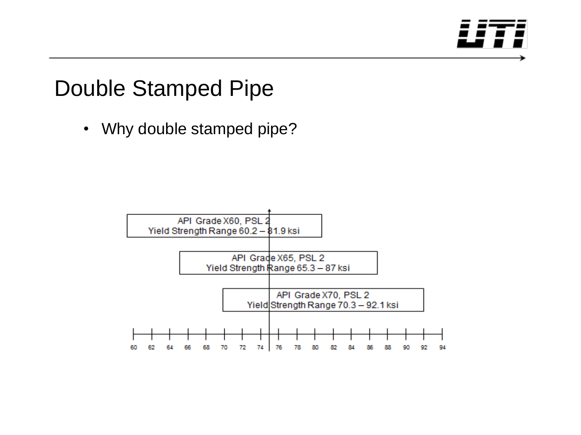

### Double Stamped Pipe

• Why double stamped pipe?

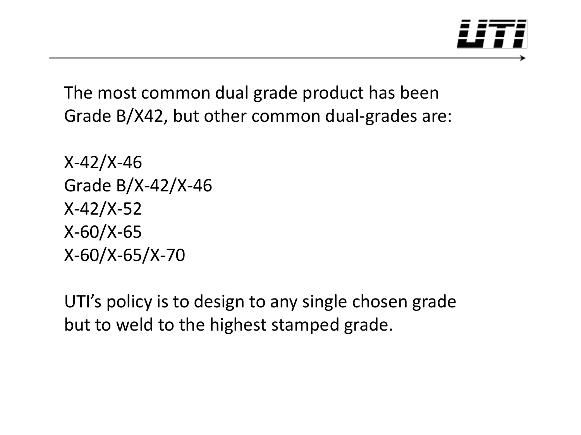

The most common dual grade product has been Grade B/X42, but other common dual-grades are:

X-42/X-46 Grade B/X-42/X-46 X-42/X-52 X-60/X-65 X-60/X-65/X-70

UTI's policy is to design to any single chosen grade but to weld to the highest stamped grade.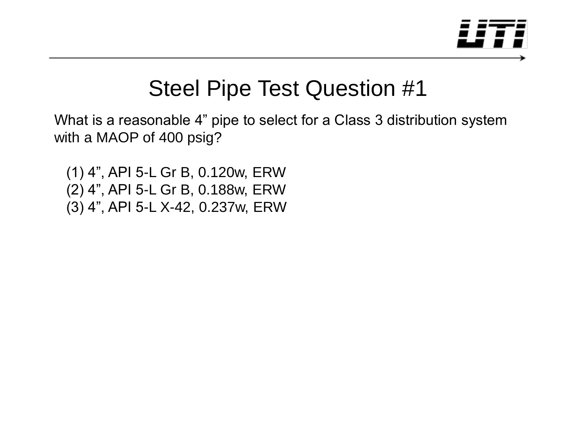

What is a reasonable 4" pipe to select for a Class 3 distribution system with a MAOP of 400 psig?

 (1) 4", API 5-L Gr B, 0.120w, ERW (2) 4", API 5-L Gr B, 0.188w, ERW (3) 4", API 5-L X-42, 0.237w, ERW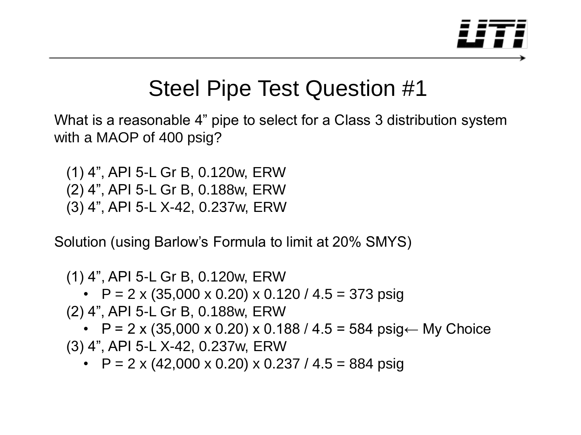

What is a reasonable 4" pipe to select for a Class 3 distribution system with a MAOP of 400 psig?

 (1) 4", API 5-L Gr B, 0.120w, ERW (2) 4", API 5-L Gr B, 0.188w, ERW (3) 4", API 5-L X-42, 0.237w, ERW

Solution (using Barlow's Formula to limit at 20% SMYS)

 (1) 4", API 5-L Gr B, 0.120w, ERW •  $P = 2 \times (35,000 \times 0.20) \times 0.120 / 4.5 = 373 \text{ psiq}$  (2) 4", API 5-L Gr B, 0.188w, ERW •  $P = 2 \times (35,000 \times 0.20) \times 0.188 / 4.5 = 584 \text{ psiq} \leftarrow My Choice$ (3) 4", API 5-L X-42, 0.237w, ERW

•  $P = 2 \times (42,000 \times 0.20) \times 0.237 / 4.5 = 884 \text{ psig}$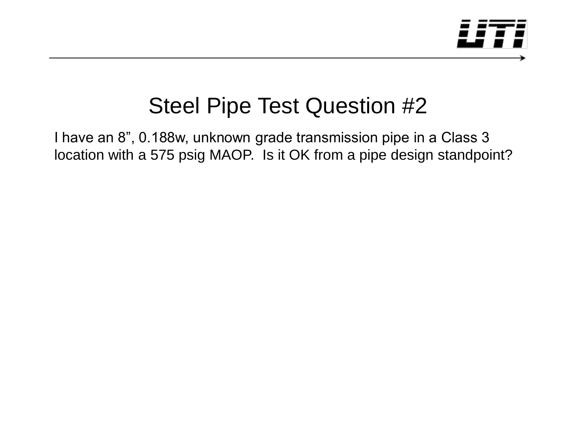

I have an 8", 0.188w, unknown grade transmission pipe in a Class 3 location with a 575 psig MAOP. Is it OK from a pipe design standpoint?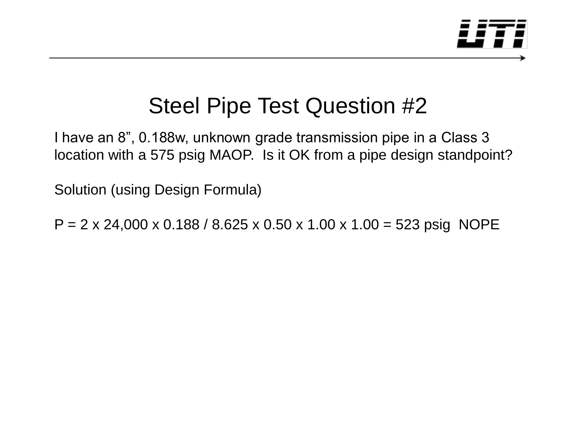

I have an 8", 0.188w, unknown grade transmission pipe in a Class 3 location with a 575 psig MAOP. Is it OK from a pipe design standpoint?

Solution (using Design Formula)

 $P = 2 \times 24,000 \times 0.188 / 8.625 \times 0.50 \times 1.00 \times 1.00 = 523 \text{ psig NOPE}$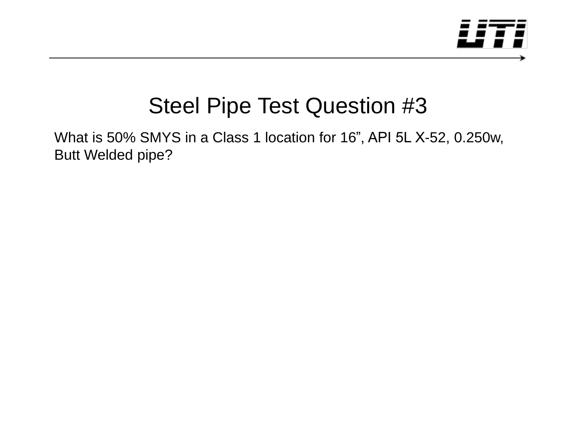

What is 50% SMYS in a Class 1 location for 16", API 5L X-52, 0.250w, Butt Welded pipe?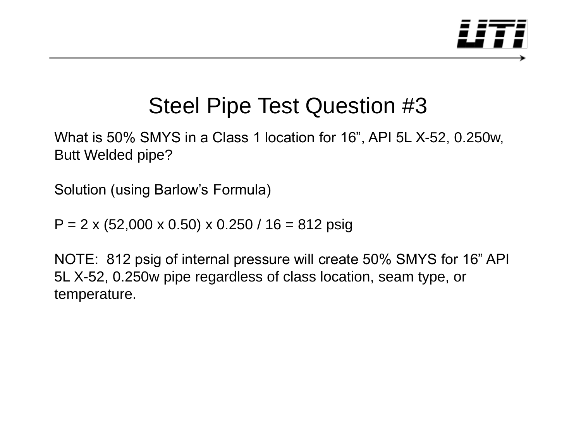

What is 50% SMYS in a Class 1 location for 16", API 5L X-52, 0.250w, Butt Welded pipe?

Solution (using Barlow's Formula)

 $P = 2 \times (52,000 \times 0.50) \times 0.250 / 16 = 812 \text{ psig}$ 

NOTE: 812 psig of internal pressure will create 50% SMYS for 16" API 5L X-52, 0.250w pipe regardless of class location, seam type, or temperature.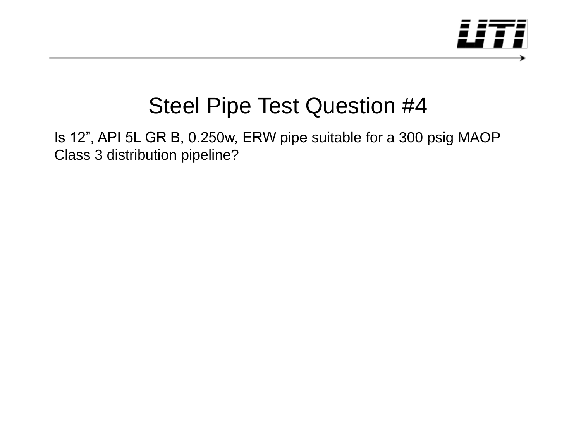

Is 12", API 5L GR B, 0.250w, ERW pipe suitable for a 300 psig MAOP Class 3 distribution pipeline?